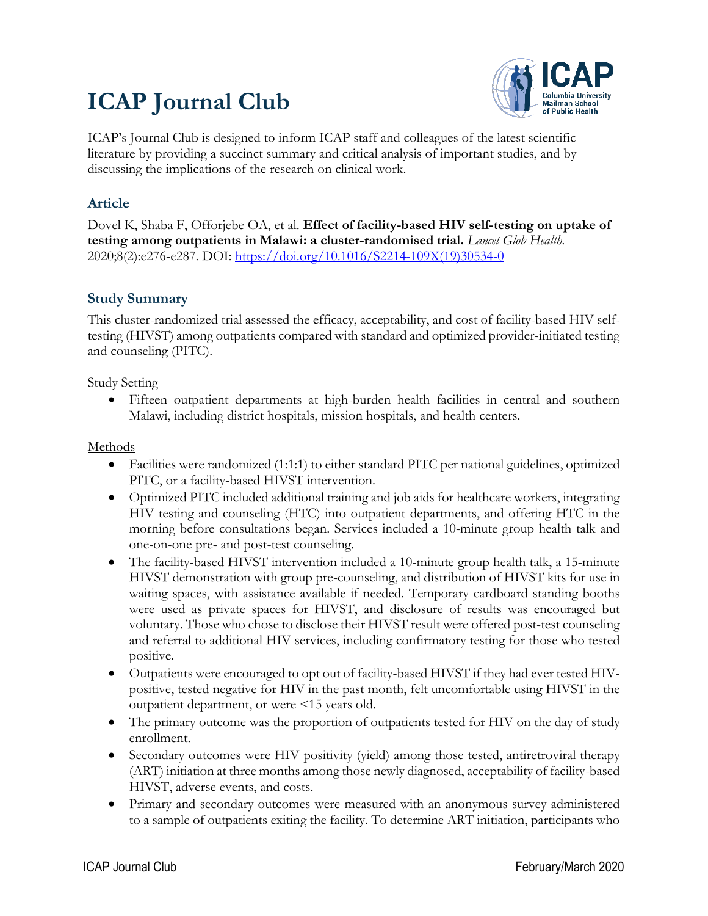# **ICAP Journal Club**



ICAP's Journal Club is designed to inform ICAP staff and colleagues of the latest scientific literature by providing a succinct summary and critical analysis of important studies, and by discussing the implications of the research on clinical work.

## **Article**

Dovel K, Shaba F, Offorjebe OA, et al. **Effect of facility-based HIV self-testing on uptake of testing among outpatients in Malawi: a cluster-randomised trial.** *Lancet Glob Health.* 2020;8(2):e276-e287. DOI: [https://doi.org/10.1016/S2214-109X\(19\)30534-0](https://doi.org/10.1016/S2214-109X(19)30534-0)

## **Study Summary**

This cluster-randomized trial assessed the efficacy, acceptability, and cost of facility-based HIV selftesting (HIVST) among outpatients compared with standard and optimized provider-initiated testing and counseling (PITC).

Study Setting

• Fifteen outpatient departments at high-burden health facilities in central and southern Malawi, including district hospitals, mission hospitals, and health centers.

Methods

- Facilities were randomized (1:1:1) to either standard PITC per national guidelines, optimized PITC, or a facility-based HIVST intervention.
- Optimized PITC included additional training and job aids for healthcare workers, integrating HIV testing and counseling (HTC) into outpatient departments, and offering HTC in the morning before consultations began. Services included a 10-minute group health talk and one-on-one pre- and post-test counseling.
- The facility-based HIVST intervention included a 10-minute group health talk, a 15-minute HIVST demonstration with group pre-counseling, and distribution of HIVST kits for use in waiting spaces, with assistance available if needed. Temporary cardboard standing booths were used as private spaces for HIVST, and disclosure of results was encouraged but voluntary. Those who chose to disclose their HIVST result were offered post-test counseling and referral to additional HIV services, including confirmatory testing for those who tested positive.
- Outpatients were encouraged to opt out of facility-based HIVST if they had ever tested HIVpositive, tested negative for HIV in the past month, felt uncomfortable using HIVST in the outpatient department, or were <15 years old.
- The primary outcome was the proportion of outpatients tested for HIV on the day of study enrollment.
- Secondary outcomes were HIV positivity (yield) among those tested, antiretroviral therapy (ART) initiation at three months among those newly diagnosed, acceptability of facility-based HIVST, adverse events, and costs.
- Primary and secondary outcomes were measured with an anonymous survey administered to a sample of outpatients exiting the facility. To determine ART initiation, participants who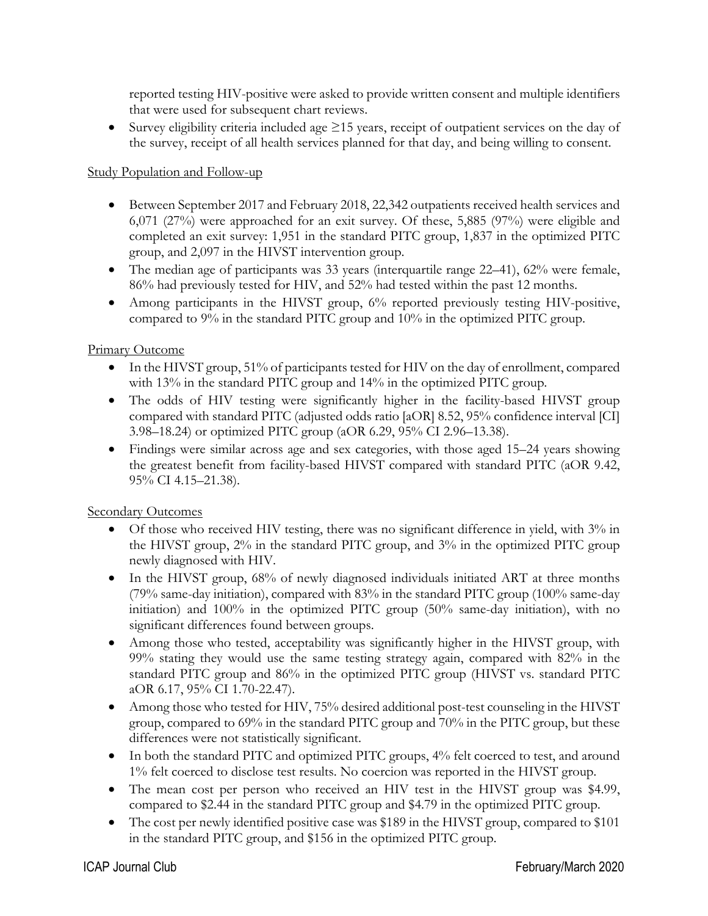reported testing HIV-positive were asked to provide written consent and multiple identifiers that were used for subsequent chart reviews.

• Survey eligibility criteria included age  $\geq$ 15 years, receipt of outpatient services on the day of the survey, receipt of all health services planned for that day, and being willing to consent.

#### Study Population and Follow-up

- Between September 2017 and February 2018, 22,342 outpatients received health services and 6,071 (27%) were approached for an exit survey. Of these, 5,885 (97%) were eligible and completed an exit survey: 1,951 in the standard PITC group, 1,837 in the optimized PITC group, and 2,097 in the HIVST intervention group.
- The median age of participants was 33 years (interquartile range 22–41), 62% were female, 86% had previously tested for HIV, and 52% had tested within the past 12 months.
- Among participants in the HIVST group, 6% reported previously testing HIV-positive, compared to 9% in the standard PITC group and 10% in the optimized PITC group.

#### Primary Outcome

- In the HIVST group, 51% of participants tested for HIV on the day of enrollment, compared with 13% in the standard PITC group and 14% in the optimized PITC group.
- The odds of HIV testing were significantly higher in the facility-based HIVST group compared with standard PITC (adjusted odds ratio [aOR] 8.52, 95% confidence interval [CI] 3.98–18.24) or optimized PITC group (aOR 6.29, 95% CI 2.96–13.38).
- Findings were similar across age and sex categories, with those aged 15–24 years showing the greatest benefit from facility-based HIVST compared with standard PITC (aOR 9.42, 95% CI 4.15–21.38).

#### Secondary Outcomes

- Of those who received HIV testing, there was no significant difference in yield, with 3% in the HIVST group, 2% in the standard PITC group, and 3% in the optimized PITC group newly diagnosed with HIV.
- In the HIVST group, 68% of newly diagnosed individuals initiated ART at three months (79% same-day initiation), compared with 83% in the standard PITC group (100% same-day initiation) and 100% in the optimized PITC group (50% same-day initiation), with no significant differences found between groups.
- Among those who tested, acceptability was significantly higher in the HIVST group, with 99% stating they would use the same testing strategy again, compared with 82% in the standard PITC group and 86% in the optimized PITC group (HIVST vs. standard PITC aOR 6.17, 95% CI 1.70-22.47).
- Among those who tested for HIV, 75% desired additional post-test counseling in the HIVST group, compared to 69% in the standard PITC group and 70% in the PITC group, but these differences were not statistically significant.
- In both the standard PITC and optimized PITC groups, 4% felt coerced to test, and around 1% felt coerced to disclose test results. No coercion was reported in the HIVST group.
- The mean cost per person who received an HIV test in the HIVST group was \$4.99, compared to \$2.44 in the standard PITC group and \$4.79 in the optimized PITC group.
- The cost per newly identified positive case was \$189 in the HIVST group, compared to \$101 in the standard PITC group, and \$156 in the optimized PITC group.